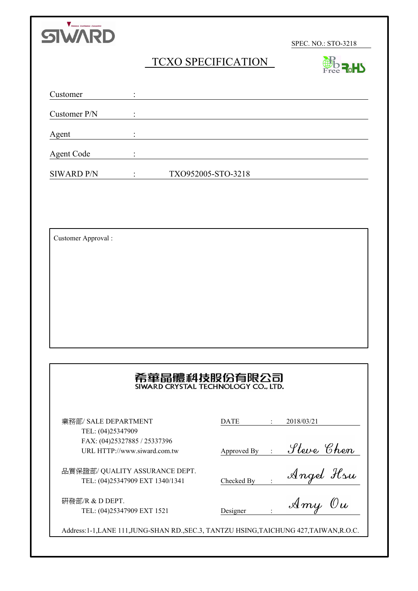

SPEC. NO.: STO-3218

**Форцу** 

# TCXO SPECIFICATION

|                   |                             |                    | $r$ ree <b>M</b> |
|-------------------|-----------------------------|--------------------|------------------|
| Customer          | $\bullet$<br>$\blacksquare$ |                    |                  |
| Customer P/N      | $\bullet$<br>$\blacksquare$ |                    |                  |
| Agent             | $\bullet$                   |                    |                  |
| <b>Agent Code</b> | $\bullet$<br>$\blacksquare$ |                    |                  |
| <b>SIWARD P/N</b> |                             | TXO952005-STO-3218 |                  |

Customer Approval :

# 希華晶體科技股份有限公司

業務部/ SALE DEPARTMENT TEL: (04)25347909 FAX: (04)25327885 / 25337396 URL HTTP://www.siward.com.tw

品質保證部/ QUALITY ASSURANCE DEPT. TEL: (04)25347909 EXT 1340/1341

研發部/R & D DEPT. TEL: (04)25347909 EXT 1521

| DATE | 2018/03/21 |
|------|------------|
|      |            |

Approved By :

Checked By :

Designer :

Address:1-1,LANE 111,JUNG-SHAN RD.,SEC.3, TANTZU HSING,TAICHUNG 427,TAIWAN,R.O.C.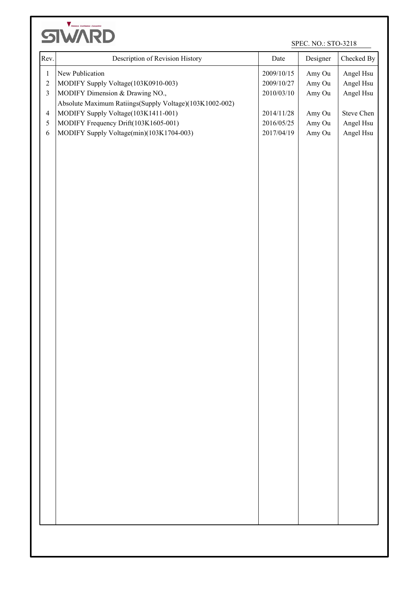

SPEC. NO.: STO-3218

| New Publication<br>Angel Hsu<br>2009/10/15<br>Amy Ou<br>$\boldsymbol{1}$<br>$\sqrt{2}$<br>MODIFY Supply Voltage(103K0910-003)<br>Amy Ou<br>Angel Hsu<br>2009/10/27<br>MODIFY Dimension & Drawing NO.,<br>Angel Hsu<br>$\mathfrak{Z}$<br>Amy Ou<br>2010/03/10<br>Absolute Maximum Ratiings(Supply Voltage)(103K1002-002)<br>MODIFY Supply Voltage(103K1411-001)<br>Steve Chen<br>2014/11/28<br>Amy Ou<br>$\overline{4}$<br>Angel Hsu<br>MODIFY Frequency Drift(103K1605-001)<br>2016/05/25<br>Amy Ou<br>$\mathfrak{S}$<br>MODIFY Supply Voltage(min)(103K1704-003)<br>2017/04/19<br>Amy Ou<br>Angel Hsu<br>$\sqrt{6}$ |
|----------------------------------------------------------------------------------------------------------------------------------------------------------------------------------------------------------------------------------------------------------------------------------------------------------------------------------------------------------------------------------------------------------------------------------------------------------------------------------------------------------------------------------------------------------------------------------------------------------------------|
|                                                                                                                                                                                                                                                                                                                                                                                                                                                                                                                                                                                                                      |
|                                                                                                                                                                                                                                                                                                                                                                                                                                                                                                                                                                                                                      |
|                                                                                                                                                                                                                                                                                                                                                                                                                                                                                                                                                                                                                      |
|                                                                                                                                                                                                                                                                                                                                                                                                                                                                                                                                                                                                                      |
|                                                                                                                                                                                                                                                                                                                                                                                                                                                                                                                                                                                                                      |
|                                                                                                                                                                                                                                                                                                                                                                                                                                                                                                                                                                                                                      |
|                                                                                                                                                                                                                                                                                                                                                                                                                                                                                                                                                                                                                      |
|                                                                                                                                                                                                                                                                                                                                                                                                                                                                                                                                                                                                                      |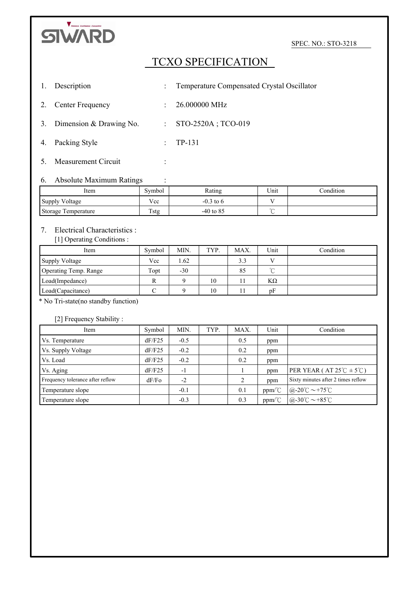

SPEC. NO.: STO-3218

# TCXO SPECIFICATION

- 1. Description : Temperature Compensated Crystal Oscillator 2. Center Frequency : 26.000000 MHz 3. Dimension & Drawing No. : STO-2520A; TCO-019
- 4. Packing Style : TP-131
- 5. Measurement Circuit :

#### 6. Absolute Maximum Ratings :

| Item                | Symbol      | Rating      | Unit   | Condition |
|---------------------|-------------|-------------|--------|-----------|
| Supply Voltage      | Vcc         | $-0.3$ to 6 |        |           |
| Storage Temperature | <b>Tstg</b> | $-40$ to 85 | $\sim$ |           |

#### 7. Electrical Characteristics :

[1] Operating Conditions :

| Item                  | Symbol | MIN.  | TYP. | MAX. | Unit         | Condition |
|-----------------------|--------|-------|------|------|--------------|-----------|
| Supply Voltage        | Vcc    | 1.62  |      | 3.3  | $\mathbf{V}$ |           |
| Operating Temp. Range | Topt   | $-30$ |      | 85   | $\sim$       |           |
| Load(Impedance)       | R      |       | 10   |      | ΚΩ           |           |
| Load(Capacitance)     |        |       | 10   |      | pF           |           |

\* No Tri-state(no standby function)

[2] Frequency Stability :

| Item                             | Symbol | MIN.   | TYP. | MAX.          | Unit                                    | Condition                                       |
|----------------------------------|--------|--------|------|---------------|-----------------------------------------|-------------------------------------------------|
| Vs. Temperature                  | dF/F25 | $-0.5$ |      | 0.5           | ppm                                     |                                                 |
| Vs. Supply Voltage               | dF/F25 | $-0.2$ |      | 0.2           | ppm                                     |                                                 |
| Vs. Load                         | dF/F25 | $-0.2$ |      | 0.2           | ppm                                     |                                                 |
| Vs. Aging                        | dF/F25 | $-1$   |      |               | ppm                                     | PER YEAR (AT $25^{\circ}C \pm 5^{\circ}C$ )     |
| Frequency tolerance after reflow | dF/Fo  | $-2$   |      | $\mathcal{L}$ | ppm                                     | Sixty minutes after 2 times reflow              |
| Temperature slope                |        | $-0.1$ |      | 0.1           | $ppm\textdegree$                        | @-20°C $\sim$ +75°C                             |
| Temperature slope                |        | $-0.3$ |      | 0.3           | $ppm$ <sup><math>\degree</math></sup> C | $@-30^{\circ}\text{C} \sim +85^{\circ}\text{C}$ |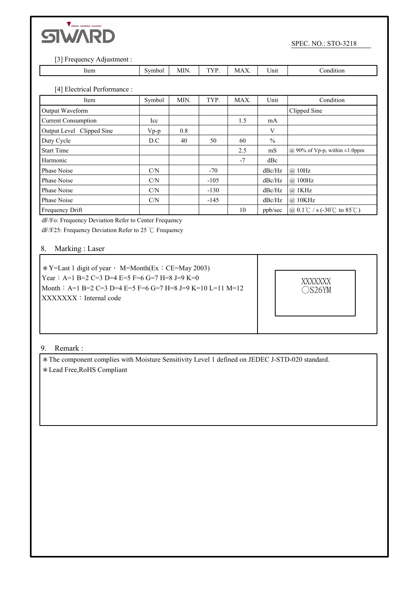

I.

SPEC. NO.: STO-3218

[3] Frequency Adjustment :

| Item | 1ho. | -- | M | - -<br>.<br><br>$ -$ | וחו<br>_ _ _ _ _ |
|------|------|----|---|----------------------|------------------|

[4] Electrical Performance :

| Item                       | Symbol | MIN. | TYP.   | MAX. | Unit          | Condition                           |
|----------------------------|--------|------|--------|------|---------------|-------------------------------------|
| Output Waveform            |        |      |        |      |               | Clipped Sine                        |
| <b>Current Consumption</b> | Icc    |      |        | 1.5  | mA            |                                     |
| Output Level Clipped Sine  | $Vp-p$ | 0.8  |        |      | V             |                                     |
| Duty Cycle                 | D.C    | 40   | 50     | 60   | $\frac{0}{0}$ |                                     |
| <b>Start Time</b>          |        |      |        | 2.5  | mS            | @ 90% of Vp-p, within $\pm 1.0$ ppm |
| Harmonic                   |        |      |        | $-7$ | dBc           |                                     |
| Phase Noise                | C/N    |      | $-70$  |      | dBc/Hz        | $\omega$ 10Hz                       |
| Phase Noise                | C/N    |      | $-105$ |      | dBc/Hz        | $\omega$ 100Hz                      |
| Phase Noise                | C/N    |      | $-130$ |      | dBc/Hz        | $@$ 1KHz                            |
| Phase Noise                | C/N    |      | $-145$ |      | dBc/Hz        | @ 10KHz                             |
| Frequency Drift            |        |      |        | 10   | ppb/sec       | @ 0.1 °C / s (-30 °C to 85 °C)      |

dF/Fo: Frequency Deviation Refer to Center Frequency

dF/F25: Frequency Deviation Refer to 25  $\degree$ C Frequency

#### 8. Marking : Laser

 $*Y=Last 1$  digit of year, M=Month(Ex: CE=May 2003) Year: A=1 B=2 C=3 D=4 E=5 F=6 G=7 H=8 J=9 K=0 Month:A=1 B=2 C=3 D=4 E=5 F=6 G=7 H=8 J=9 K=10 L=11 M=12 XXXXXXX: Internal code



#### 9. Remark :

\*The component complies with Moisture Sensitivity Level 1 defined on JEDEC J-STD-020 standard. \*Lead Free,RoHS Compliant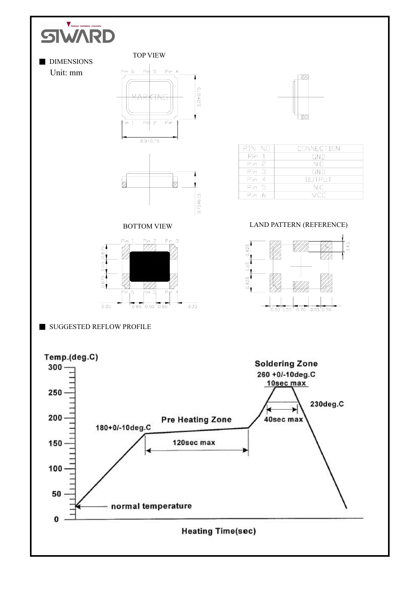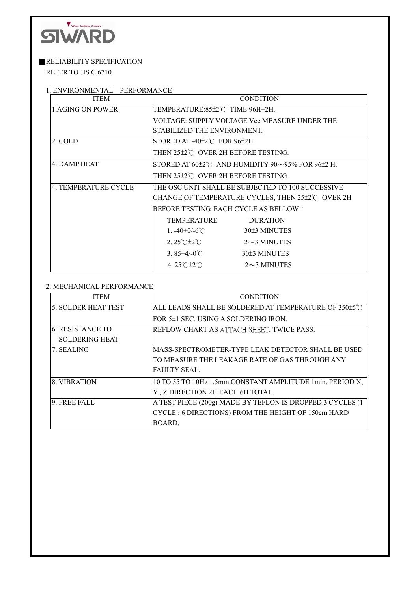

## **RELIABILITY SPECIFICATION**

REFER TO JIS C 6710

### 1. ENVIRONMENTAL PERFORMANCE

| <b>ITEM</b>            |                                             | <b>CONDITION</b>                                                        |
|------------------------|---------------------------------------------|-------------------------------------------------------------------------|
| <b>LAGING ON POWER</b> | TEMPERATURE:85±2℃ TIME:96H±2H.              |                                                                         |
|                        |                                             | VOLTAGE: SUPPLY VOLTAGE Vcc MEASURE UNDER THE                           |
|                        | STABILIZED THE ENVIRONMENT.                 |                                                                         |
| 2. COLD                | STORED AT $-40\pm2\degree$ FOR 96 $\pm2H$ . |                                                                         |
|                        | THEN 25±2℃ OVER 2H BEFORE TESTING.          |                                                                         |
| 4. DAMP HEAT           |                                             | STORED AT $60\pm2\degree$ C AND HUMIDITY 90 $\sim$ 95% FOR 96 $\pm2$ H. |
|                        | THEN 25±2°C OVER 2H BEFORE TESTING.         |                                                                         |
| 4. TEMPERATURE CYCLE   |                                             | THE OSC UNIT SHALL BE SUBJECTED TO 100 SUCCESSIVE                       |
|                        |                                             | CHANGE OF TEMPERATURE CYCLES, THEN 25±2℃ OVER 2H                        |
|                        |                                             | BEFORE TESTING, EACH CYCLE AS BELLOW:                                   |
|                        | TEMPERATURE                                 | <b>DURATION</b>                                                         |
|                        | 1. $-40+0/-6$ °C                            | 30±3 MINUTES                                                            |
|                        | $2.25^{\circ}$ C $\pm 2^{\circ}$ C          | $2\sim$ 3 MINUTES                                                       |
|                        | 3.85+4/-0 <sup>°</sup> C                    | 30±3 MINUTES                                                            |
|                        | 4. $25^{\circ}$ C $\pm 2^{\circ}$ C         | $2\sim$ 3 MINUTES                                                       |

#### 2. MECHANICAL PERFORMANCE

| <b>ITEM</b>                | <b>CONDITION</b>                                          |
|----------------------------|-----------------------------------------------------------|
| <b>5. SOLDER HEAT TEST</b> | ALL LEADS SHALL BE SOLDERED AT TEMPERATURE OF 350±5°C     |
|                            | FOR 5±1 SEC. USING A SOLDERING IRON.                      |
| 16. RESISTANCE TO          | REFLOW CHART AS ATTACH SHEET. TWICE PASS.                 |
| <b>SOLDERING HEAT</b>      |                                                           |
| 7. SEALING                 | MASS-SPECTROMETER-TYPE LEAK DETECTOR SHALL BE USED        |
|                            | TO MEASURE THE LEAKAGE RATE OF GAS THROUGH ANY            |
|                            | FAULTY SEAL.                                              |
| 18. VIBRATION              | 10 TO 55 TO 10Hz 1.5mm CONSTANT AMPLITUDE 1min. PERIOD X, |
|                            | Y, Z DIRECTION 2H EACH 6H TOTAL.                          |
| 9. FREE FALL               | A TEST PIECE (200g) MADE BY TEFLON IS DROPPED 3 CYCLES (1 |
|                            | CYCLE: 6 DIRECTIONS) FROM THE HEIGHT OF 150cm HARD        |
|                            | BOARD.                                                    |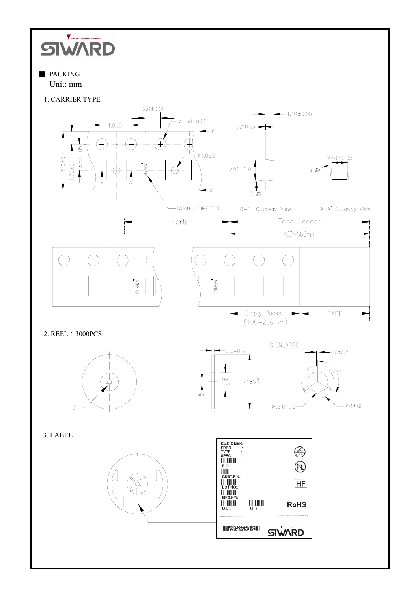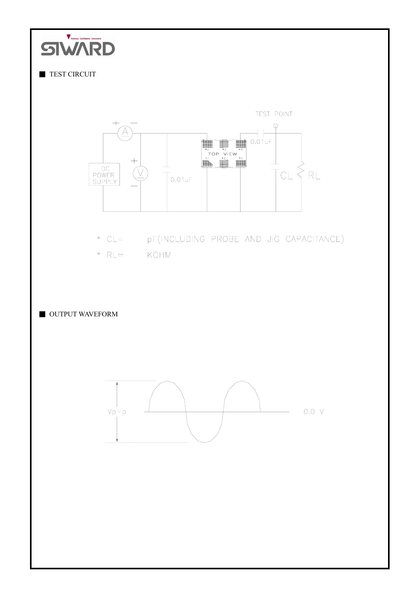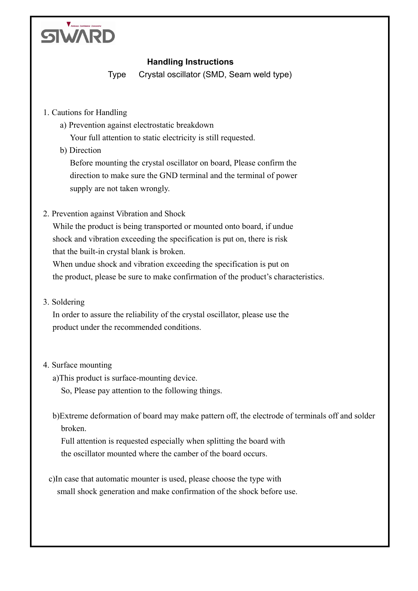

# **Handling Instructions**

Type Crystal oscillator (SMD, Seam weld type)

- 1. Cautions for Handling
	- a) Prevention against electrostatic breakdown

Your full attention to static electricity is still requested.

b) Direction

Before mounting the crystal oscillator on board, Please confirm the direction to make sure the GND terminal and the terminal of power supply are not taken wrongly.

2. Prevention against Vibration and Shock

While the product is being transported or mounted onto board, if undue shock and vibration exceeding the specification is put on, there is risk that the built-in crystal blank is broken.

When undue shock and vibration exceeding the specification is put on the product, please be sure to make confirmation of the product's characteristics.

3. Soldering

In order to assure the reliability of the crystal oscillator, please use the product under the recommended conditions.

## 4. Surface mounting

- a)This product is surface-mounting device.
	- So, Please pay attention to the following things.
- b)Extreme deformation of board may make pattern off, the electrode of terminals off and solder broken.

Full attention is requested especially when splitting the board with the oscillator mounted where the camber of the board occurs.

c)In case that automatic mounter is used, please choose the type with small shock generation and make confirmation of the shock before use.